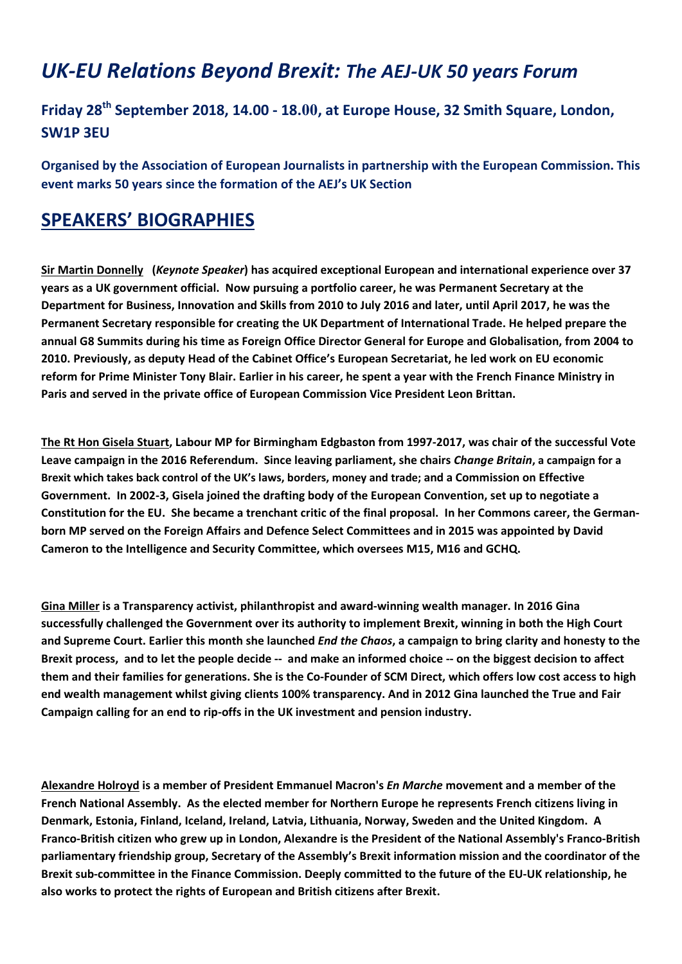## UK-EU Relations Beyond Brexit: The AEJ-UK 50 years Forum

## Friday 28<sup>th</sup> September 2018, 14.00 - 18.00, at Europe House, 32 Smith Square, London, SW1P 3EU

Organised by the Association of European Journalists in partnership with the European Commission. This event marks 50 years since the formation of the AEJ's UK Section

## SPEAKERS' BIOGRAPHIES

Sir Martin Donnelly (Keynote Speaker) has acquired exceptional European and international experience over 37 years as a UK government official. Now pursuing a portfolio career, he was Permanent Secretary at the Department for Business, Innovation and Skills from 2010 to July 2016 and later, until April 2017, he was the Permanent Secretary responsible for creating the UK Department of International Trade. He helped prepare the annual G8 Summits during his time as Foreign Office Director General for Europe and Globalisation, from 2004 to 2010. Previously, as deputy Head of the Cabinet Office's European Secretariat, he led work on EU economic reform for Prime Minister Tony Blair. Earlier in his career, he spent a year with the French Finance Ministry in Paris and served in the private office of European Commission Vice President Leon Brittan.

The Rt Hon Gisela Stuart, Labour MP for Birmingham Edgbaston from 1997-2017, was chair of the successful Vote Leave campaign in the 2016 Referendum. Since leaving parliament, she chairs Change Britain, a campaign for a Brexit which takes back control of the UK's laws, borders, money and trade; and a Commission on Effective Government. In 2002-3, Gisela joined the drafting body of the European Convention, set up to negotiate a Constitution for the EU. She became a trenchant critic of the final proposal. In her Commons career, the Germanborn MP served on the Foreign Affairs and Defence Select Committees and in 2015 was appointed by David Cameron to the Intelligence and Security Committee, which oversees M15, M16 and GCHQ.

Gina Miller is a Transparency activist, philanthropist and award-winning wealth manager. In 2016 Gina successfully challenged the Government over its authority to implement Brexit, winning in both the High Court and Supreme Court. Earlier this month she launched *End the Chaos*, a campaign to bring clarity and honesty to the Brexit process, and to let the people decide -- and make an informed choice -- on the biggest decision to affect them and their families for generations. She is the Co-Founder of SCM Direct, which offers low cost access to high end wealth management whilst giving clients 100% transparency. And in 2012 Gina launched the True and Fair Campaign calling for an end to rip-offs in the UK investment and pension industry.

Alexandre Holroyd is a member of President Emmanuel Macron's En Marche movement and a member of the French National Assembly. As the elected member for Northern Europe he represents French citizens living in Denmark, Estonia, Finland, Iceland, Ireland, Latvia, Lithuania, Norway, Sweden and the United Kingdom. A Franco-British citizen who grew up in London, Alexandre is the President of the National Assembly's Franco-British parliamentary friendship group, Secretary of the Assembly's Brexit information mission and the coordinator of the Brexit sub-committee in the Finance Commission. Deeply committed to the future of the EU-UK relationship, he also works to protect the rights of European and British citizens after Brexit.